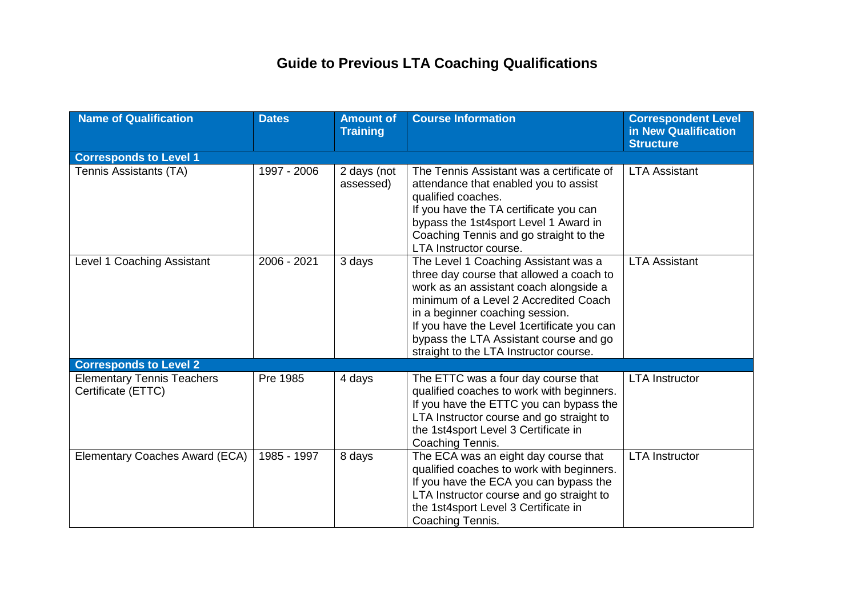## **Guide to Previous LTA Coaching Qualifications**

| <b>Name of Qualification</b>                            | <b>Dates</b> | <b>Amount of</b><br><b>Training</b> | <b>Course Information</b>                                                                                                                                                                                                                                                                                                                 | <b>Correspondent Level</b><br>in New Qualification<br><b>Structure</b> |  |  |  |
|---------------------------------------------------------|--------------|-------------------------------------|-------------------------------------------------------------------------------------------------------------------------------------------------------------------------------------------------------------------------------------------------------------------------------------------------------------------------------------------|------------------------------------------------------------------------|--|--|--|
| <b>Corresponds to Level 1</b>                           |              |                                     |                                                                                                                                                                                                                                                                                                                                           |                                                                        |  |  |  |
| Tennis Assistants (TA)                                  | 1997 - 2006  | 2 days (not<br>assessed)            | The Tennis Assistant was a certificate of<br>attendance that enabled you to assist<br>qualified coaches.<br>If you have the TA certificate you can<br>bypass the 1st4sport Level 1 Award in<br>Coaching Tennis and go straight to the<br>LTA Instructor course.                                                                           | <b>LTA Assistant</b>                                                   |  |  |  |
| Level 1 Coaching Assistant                              | 2006 - 2021  | 3 days                              | The Level 1 Coaching Assistant was a<br>three day course that allowed a coach to<br>work as an assistant coach alongside a<br>minimum of a Level 2 Accredited Coach<br>in a beginner coaching session.<br>If you have the Level 1 certificate you can<br>bypass the LTA Assistant course and go<br>straight to the LTA Instructor course. | <b>LTA Assistant</b>                                                   |  |  |  |
| <b>Corresponds to Level 2</b>                           |              |                                     |                                                                                                                                                                                                                                                                                                                                           |                                                                        |  |  |  |
| <b>Elementary Tennis Teachers</b><br>Certificate (ETTC) | Pre 1985     | 4 days                              | The ETTC was a four day course that<br>qualified coaches to work with beginners.<br>If you have the ETTC you can bypass the<br>LTA Instructor course and go straight to<br>the 1st4sport Level 3 Certificate in<br>Coaching Tennis.                                                                                                       | <b>LTA Instructor</b>                                                  |  |  |  |
| Elementary Coaches Award (ECA)                          | 1985 - 1997  | 8 days                              | The ECA was an eight day course that<br>qualified coaches to work with beginners.<br>If you have the ECA you can bypass the<br>LTA Instructor course and go straight to<br>the 1st4sport Level 3 Certificate in<br>Coaching Tennis.                                                                                                       | <b>LTA Instructor</b>                                                  |  |  |  |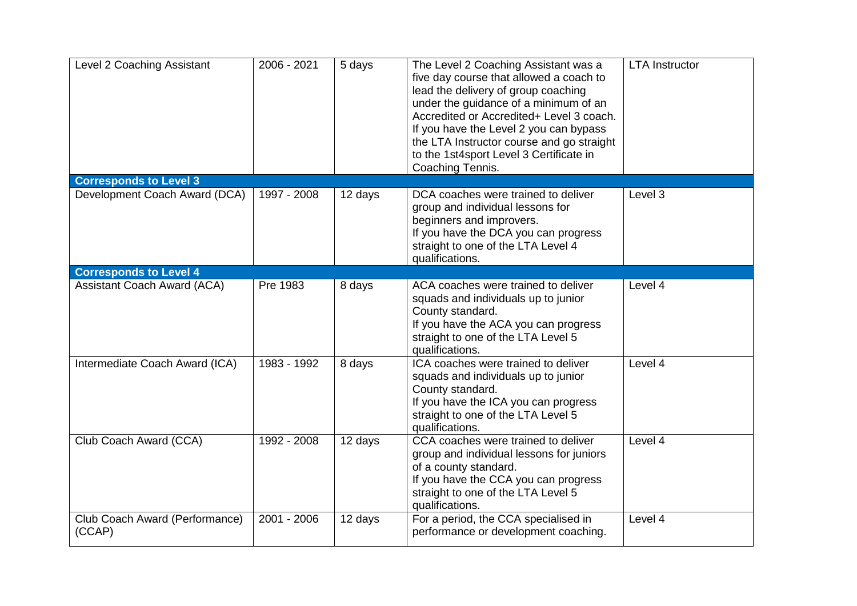| Level 2 Coaching Assistant               | 2006 - 2021 | 5 days  | The Level 2 Coaching Assistant was a<br>five day course that allowed a coach to<br>lead the delivery of group coaching<br>under the guidance of a minimum of an<br>Accredited or Accredited+ Level 3 coach.<br>If you have the Level 2 you can bypass<br>the LTA Instructor course and go straight<br>to the 1st4sport Level 3 Certificate in<br>Coaching Tennis. | <b>LTA Instructor</b> |  |  |  |
|------------------------------------------|-------------|---------|-------------------------------------------------------------------------------------------------------------------------------------------------------------------------------------------------------------------------------------------------------------------------------------------------------------------------------------------------------------------|-----------------------|--|--|--|
| <b>Corresponds to Level 3</b>            |             |         |                                                                                                                                                                                                                                                                                                                                                                   |                       |  |  |  |
| Development Coach Award (DCA)            | 1997 - 2008 | 12 days | DCA coaches were trained to deliver<br>group and individual lessons for<br>beginners and improvers.<br>If you have the DCA you can progress<br>straight to one of the LTA Level 4<br>qualifications.                                                                                                                                                              | Level 3               |  |  |  |
| <b>Corresponds to Level 4</b>            |             |         |                                                                                                                                                                                                                                                                                                                                                                   |                       |  |  |  |
| <b>Assistant Coach Award (ACA)</b>       | Pre 1983    | 8 days  | ACA coaches were trained to deliver<br>squads and individuals up to junior<br>County standard.<br>If you have the ACA you can progress<br>straight to one of the LTA Level 5<br>qualifications.                                                                                                                                                                   | Level 4               |  |  |  |
| Intermediate Coach Award (ICA)           | 1983 - 1992 | 8 days  | ICA coaches were trained to deliver<br>squads and individuals up to junior<br>County standard.<br>If you have the ICA you can progress<br>straight to one of the LTA Level 5<br>qualifications.                                                                                                                                                                   | Level 4               |  |  |  |
| Club Coach Award (CCA)                   | 1992 - 2008 | 12 days | CCA coaches were trained to deliver<br>group and individual lessons for juniors<br>of a county standard.<br>If you have the CCA you can progress<br>straight to one of the LTA Level 5<br>qualifications.                                                                                                                                                         | Level 4               |  |  |  |
| Club Coach Award (Performance)<br>(CCAP) | 2001 - 2006 | 12 days | For a period, the CCA specialised in<br>performance or development coaching.                                                                                                                                                                                                                                                                                      | Level 4               |  |  |  |